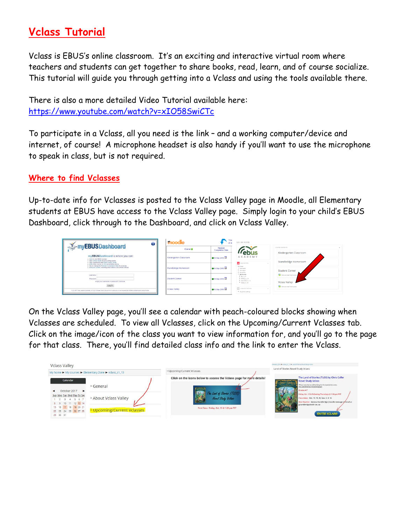# **Vclass Tutorial**

Vclass is EBUS's online classroom. It's an exciting and interactive virtual room where teachers and students can get together to share books, read, learn, and of course socialize. This tutorial will guide you through getting into a Vclass and using the tools available there.

There is also a more detailed Video Tutorial available here: <https://www.youtube.com/watch?v=xIO58SwiCTc>

To participate in a Vclass, all you need is the link – and a working computer/device and internet, of course! A microphone headset is also handy if you'll want to use the microphone to speak in class, but is not required.

## **Where to find Vclasses**

Up-to-date info for Vclasses is posted to the Vclass Valley page in Moodle, all Elementary students at EBUS have access to the Vclass Valley page. Simply login to your child's EBUS Dashboard, click through to the Dashboard, and click on Vclass Valley.

| moodle                                         | Your<br>at a                           | GO: MY HOME                                                  |                                                                         |
|------------------------------------------------|----------------------------------------|--------------------------------------------------------------|-------------------------------------------------------------------------|
| Course <sup>IB</sup>                           | Planned<br><b>Completion Date</b>      |                                                              | <b>COURSE OVERVIEW</b>                                                  |
| Kindergarten Classroom<br>Standbridge Homeroom | @05-Sep-2018<br>$\bigcirc$ 05-Sep-2018 | ACADEMY                                                      | Kindergarten Classroom<br>Standbridge Homeroom<br><b>Student Corner</b> |
|                                                |                                        | A NAVIGATION<br>My horne<br>* Ske home<br><b>F</b> Shr panel |                                                                         |
|                                                |                                        |                                                              |                                                                         |
|                                                |                                        | $P$ shapener at 12<br>P volass st 13                         | <b>Vclass Valley</b>                                                    |
| <b>Volass Valley</b>                           | $\bullet$ 05-Sep-2018                  | <b>CHADMINSTRATION</b>                                       | There are new forum posts                                               |
|                                                | <b>Student Corner</b>                  | @05-Sep-2018                                                 | > My profile<br>P HR-65 st 13<br>> My profile settings                  |

On the Vclass Valley page, you'll see a calendar with peach-coloured blocks showing when Vclasses are scheduled. To view all Vclasses, click on the Upcoming/Current Vclasses tab. Click on the image/icon of the class you want to view information for, and you'll go to the page for that class. There, you'll find detailed class info and the link to enter the Vclass.

| <b>Vclass Valley</b>                                      |                                                       |                                                                         | mentary Zone II volvos st. 13 . Land of Stories Novel Study Volvos                                                                           |
|-----------------------------------------------------------|-------------------------------------------------------|-------------------------------------------------------------------------|----------------------------------------------------------------------------------------------------------------------------------------------|
|                                                           | My home ▶ My courses ▶ Elementary Zone ▶ vclass_s1_13 | * Upcoming/Current Vclasses                                             | Land of Stories Novel Study Vclass                                                                                                           |
| Calendar                                                  |                                                       | Click on the icons below to access the Vclass page for more details!    | The Land of Stories (TLOS) by Chris Colfer<br><b>Novel Study Vclass</b><br>"Please note that we will be doing the first book in this series, |
| October 2017<br>٠<br>Sun Mon Tue Wed Thu Fri Sat          | General                                               | The Land of Stories (TLDS)                                              | The Land of Stories: The Wishing Spall<br>Srades 4-7<br>Friday Oct. 13 & following Thursdays @ 1:00 pm PST                                   |
| 2 3 4 5 6 7<br>8 9 10 11 12 13 14<br>15 16 17 18 19 20 21 | About Vclass Valley                                   | <b>Novel Study Volage</b><br>First Class: Friday, Oct. 13 @ 1:00 pm PST | Class dates: Oct. 13, 19, 26, Nov. 2, 9, 16<br>Host Teacher: Geneva Standbridge (moodle message or email at<br>gstandbridge@sd91.bc.ca)      |
| 22 23 24 25 26 27 28<br>29 30 31                          | ▶ Upcoming/Current Vclasses                           |                                                                         | <b>ENTER VCLASS</b>                                                                                                                          |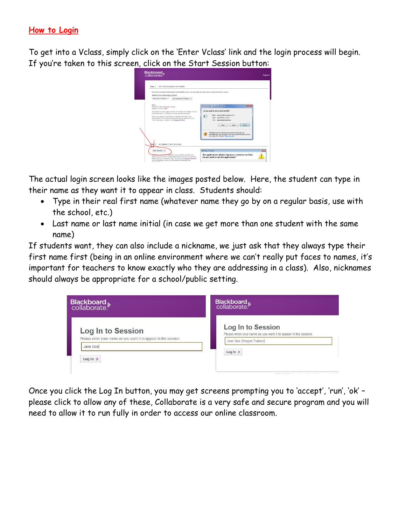#### **How to Login**

To get into a Vclass, simply click on the 'Enter Vclass' link and the login process will begin. If you're taken to this screen, click on the Start Session button:

| Step 1 GET THE REQUIRED SOFTWARE<br>If you have already downloaded and installed Java, you may skip this step and proceed directly to step 2.<br>Select your operating system                                                                                                                                                                                                              |                                                                                                                                                                                                                                                                                                                                                                                                  |
|--------------------------------------------------------------------------------------------------------------------------------------------------------------------------------------------------------------------------------------------------------------------------------------------------------------------------------------------------------------------------------------------|--------------------------------------------------------------------------------------------------------------------------------------------------------------------------------------------------------------------------------------------------------------------------------------------------------------------------------------------------------------------------------------------------|
| Microsoft Windows<br>Get Required Software                                                                                                                                                                                                                                                                                                                                                 |                                                                                                                                                                                                                                                                                                                                                                                                  |
| Nicela:<br>When the 'File Download' window<br>appears, click on "Run".<br>Installation will take approximately 20 minutes on a 56ktps dial-up<br>connection and 1.5 minutes on a high-speed connection.<br>Were you unable to download or install the Java Run Time<br>environment? For trouble shooting information, please visit our<br>"First Time Users" section in the Support Portal | File Download - Security Warning<br>Do you want to run or save this file?<br>Neme: java-installer-windows.eve<br>冒口<br>Type: Application, 373KB<br>From: www.elluminate.com<br>Bin<br>Seve<br>Cancel<br>While files from the internet can be useful. this file type can<br>potentially harm your computer. If you do not trust the source, do not<br>run or save this soloware. What's the risk? |
| <b>BEGINNING YOUR SESSION</b><br>Step <sub>2</sub><br>Start Session p                                                                                                                                                                                                                                                                                                                      | Warning - Security                                                                                                                                                                                                                                                                                                                                                                               |
| weer pre-configure your computer and lest your<br>audio using one of our Configuration Rooms prior to your session.                                                                                                                                                                                                                                                                        | The application's digital signature cannot be verified.<br>Do you want to run the application?                                                                                                                                                                                                                                                                                                   |

The actual login screen looks like the images posted below. Here, the student can type in their name as they want it to appear in class. Students should:

- Type in their real first name (whatever name they go by on a regular basis, use with the school, etc.)
- Last name or last name initial (in case we get more than one student with the same name)

If students want, they can also include a nickname, we just ask that they always type their first name first (being in an online environment where we can't really put faces to names, it's important for teachers to know exactly who they are addressing in a class). Also, nicknames should always be appropriate for a school/public setting.

| Blackboard »<br>collaborate.                                                         | Blackboard »<br>collaborate.                                                                                      |  |
|--------------------------------------------------------------------------------------|-------------------------------------------------------------------------------------------------------------------|--|
| Log In to Session<br>Please enter your name as you want it to appear in the session. | Log In to Session<br>Please enter your name as you want it to appear in the session.<br>Jane Doe (Dragon Trainer) |  |
| Jane Doe<br>Log In $\gg$                                                             | Log In $\gg$                                                                                                      |  |

Once you click the Log In button, you may get screens prompting you to 'accept', 'run', 'ok' – please click to allow any of these, Collaborate is a very safe and secure program and you will need to allow it to run fully in order to access our online classroom.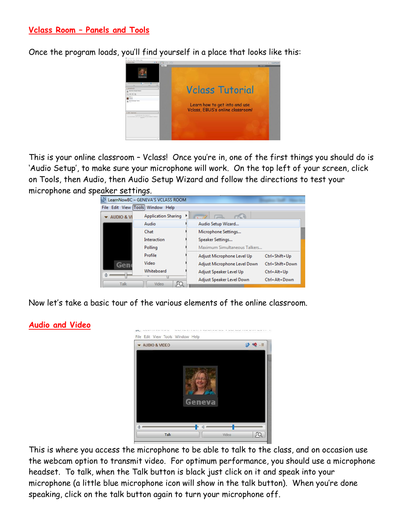#### **Vclass Room – Panels and Tools**

Once the program loads, you'll find yourself in a place that looks like this:



This is your online classroom – Vclass! Once you're in, one of the first things you should do is 'Audio Setup', to make sure your microphone will work. On the top left of your screen, click on Tools, then Audio, then Audio Setup Wizard and follow the directions to test your microphone and speaker settings.

|                       | LearnNowBC - GENEVA'S VCLASS ROOM |                              |                 |
|-----------------------|-----------------------------------|------------------------------|-----------------|
|                       | File Edit View Tools Window Help  |                              |                 |
| <b>AUDIO &amp; VI</b> | <b>Application Sharing</b>        |                              |                 |
|                       | Audio                             | Audio Setup Wizard           |                 |
|                       | Chat                              | Microphone Settings          |                 |
|                       | Interaction                       | Speaker Settings             |                 |
| Polling               |                                   | Maximum Simultaneous Talkers |                 |
|                       | Profile                           | Adjust Microphone Level Up   | Ctrl+Shift+Up   |
| Gen                   | Video                             | Adjust Microphone Level Down | Ctrl+Shift+Down |
| G                     | Whiteboard                        | Adjust Speaker Level Up      | Ctrl+Alt+Up     |
|                       |                                   | Adjust Speaker Level Down    | Ctrl+Alt+Down   |
| Talk                  | Video                             |                              |                 |

Now let's take a basic tour of the various elements of the online classroom.



This is where you access the microphone to be able to talk to the class, and on occasion use the webcam option to transmit video. For optimum performance, you should use a microphone headset. To talk, when the Talk button is black just click on it and speak into your microphone (a little blue microphone icon will show in the talk button). When you're done speaking, click on the talk button again to turn your microphone off.

## **Audio and Video**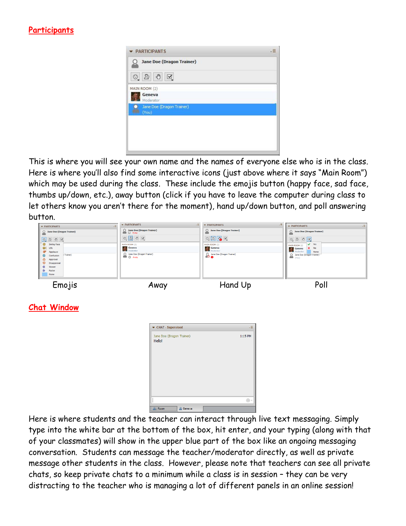## **Participants**

| <b>PARTICIPANTS</b>                      | ⋰ |
|------------------------------------------|---|
| <b>Jane Doe (Dragon Trainer)</b>         |   |
| $\circledcirc \circledcirc \circledcirc$ |   |
| MAIN ROOM (2)                            |   |
| Geneva<br>Moderator                      |   |
| Jane Doe (Dragon Trainer)<br>(You)       |   |
|                                          |   |
|                                          |   |
|                                          |   |
|                                          |   |

This is where you will see your own name and the names of everyone else who is in the class. Here is where you'll also find some interactive icons (just above where it says "Main Room") which may be used during the class. These include the emojis button (happy face, sad face, thumbs up/down, etc.), away button (click if you have to leave the computer during class to let others know you aren't there for the moment), hand up/down button, and poll answering button.

| PARTICIPANTS<br>$\sqrt{2}$<br><b>Jane Doe (Dragon Trainer)</b><br>$\circ$<br>$\odot$<br>$\bm{\mathbb{G}}$<br><b>Smiley Face</b><br>$@1$ tot<br>ಀ<br>Applause<br>Trainer)<br>☺<br>Confusion<br>Ô<br>Approval<br>Q<br>Disapproval<br>Slower | <b>v</b> PARTICIPANTS<br>$\sqrt{2}$<br>$\bigcirc$ Jane Doe (Dragon Trainer)<br>$\bigcirc$ Away<br>$\circ$ 0 0 $\circ$<br>MAIN ROOM (2)<br>Geneva<br>Moderator<br>O Jane Doe (Dragon Trainer)<br>© Away | F PARTICIPANTS<br>$\sqrt{2}$<br>O Jane Doe (Dragon Trainer)<br>MAIN ROOM (2)<br><b>Seneva</b><br>Moderator<br>O Jane Doe (Dragon Trainer) | $\sqrt{2}$<br>FARTICIPANTS<br>O Jane Doe (Dragon Trainer)<br>$V$ Yes<br>MAIN ROOM (2)<br>$X$ No<br>Geneva<br>Moderator<br>Moderator<br>None<br>O Jane Doe (Dragon Trainer) |
|-------------------------------------------------------------------------------------------------------------------------------------------------------------------------------------------------------------------------------------------|--------------------------------------------------------------------------------------------------------------------------------------------------------------------------------------------------------|-------------------------------------------------------------------------------------------------------------------------------------------|----------------------------------------------------------------------------------------------------------------------------------------------------------------------------|
| «<br>$\gg$<br>Faster<br>None<br>Emojis                                                                                                                                                                                                    | Away                                                                                                                                                                                                   | Hand Up                                                                                                                                   | Poll                                                                                                                                                                       |
| <b>Chat Window</b>                                                                                                                                                                                                                        | ▼ CHAT - Supervised<br>Jane Doe (Dragon Trainer)<br>Hello!                                                                                                                                             | $\downarrow \equiv$<br>1:15 PM                                                                                                            |                                                                                                                                                                            |
|                                                                                                                                                                                                                                           |                                                                                                                                                                                                        |                                                                                                                                           |                                                                                                                                                                            |

Here is where students and the teacher can interact through live text messaging. Simply type into the white bar at the bottom of the box, hit enter, and your typing (along with that of your classmates) will show in the upper blue part of the box like an ongoing messaging conversation. Students can message the teacher/moderator directly, as well as private message other students in the class. However, please note that teachers can see all private chats, so keep private chats to a minimum while a class is in session – they can be very distracting to the teacher who is managing a lot of different panels in an online session!